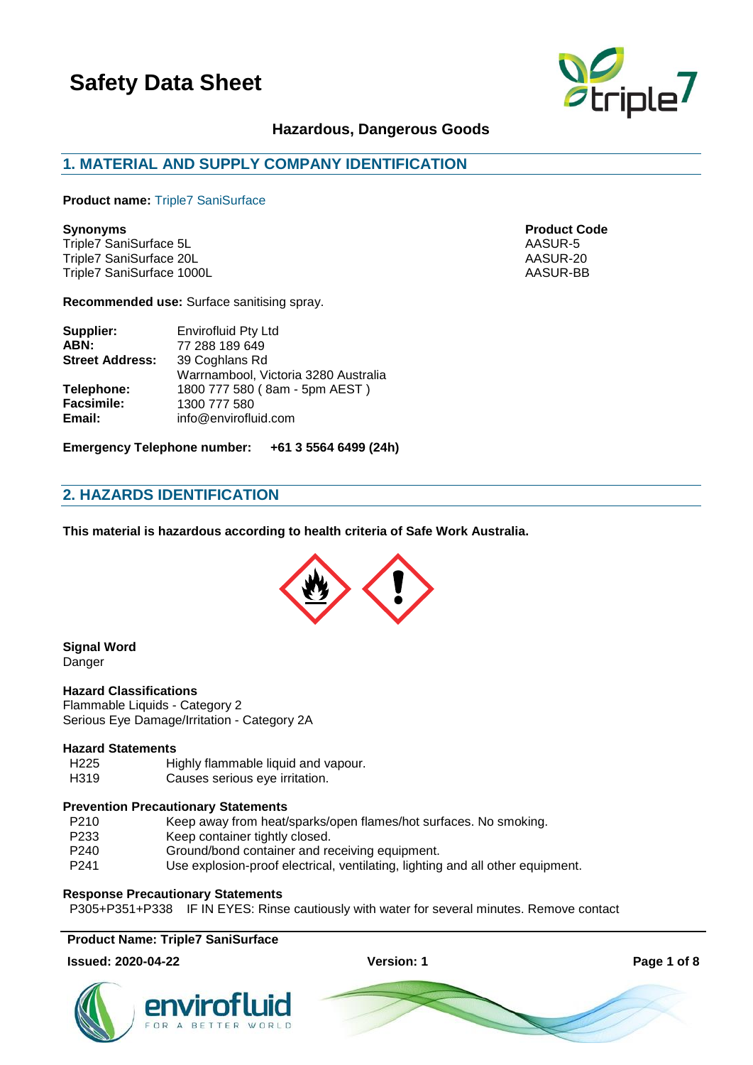

## **Hazardous, Dangerous Goods**

# **1. MATERIAL AND SUPPLY COMPANY IDENTIFICATION**

**Product name:** Triple7 SaniSurface

Triple7 SaniSurface 5L AASUR-5 Triple7 SaniSurface 20L<br>Triple7 SaniSurface 1000L<br>AASUR-BB Triple7 SaniSurface 1000L

**Recommended use:** Surface sanitising spray.

| Supplier:              | Envirofluid Pty Ltd                  |
|------------------------|--------------------------------------|
| ABN:                   | 77 288 189 649                       |
| <b>Street Address:</b> | 39 Coghlans Rd                       |
|                        | Warrnambool, Victoria 3280 Australia |
| Telephone:             | 1800 777 580 (8am - 5pm AEST)        |
| <b>Facsimile:</b>      | 1300 777 580                         |
| Email:                 | info@envirofluid.com                 |
|                        |                                      |

**Emergency Telephone number: +61 3 5564 6499 (24h)**

# **2. HAZARDS IDENTIFICATION**

**This material is hazardous according to health criteria of Safe Work Australia.**



**Signal Word** Danger

### **Hazard Classifications**

Flammable Liquids - Category 2 Serious Eye Damage/Irritation - Category 2A

#### **Hazard Statements**

- H225 Highly flammable liquid and vapour.
- H319 Causes serious eye irritation.

#### **Prevention Precautionary Statements**

- P210 Keep away from heat/sparks/open flames/hot surfaces. No smoking.
- P233 Keep container tightly closed.<br>P240 Ground/bond container and re
- Ground/bond container and receiving equipment.
- P241 Use explosion-proof electrical, ventilating, lighting and all other equipment.

#### **Response Precautionary Statements**

P305+P351+P338 IF IN EYES: Rinse cautiously with water for several minutes. Remove contact

**Product Name: Triple7 SaniSurface**

#### **Issued: 2020-04-22 Version: 1 Page 1 of 8**







**Synonyms Product Code**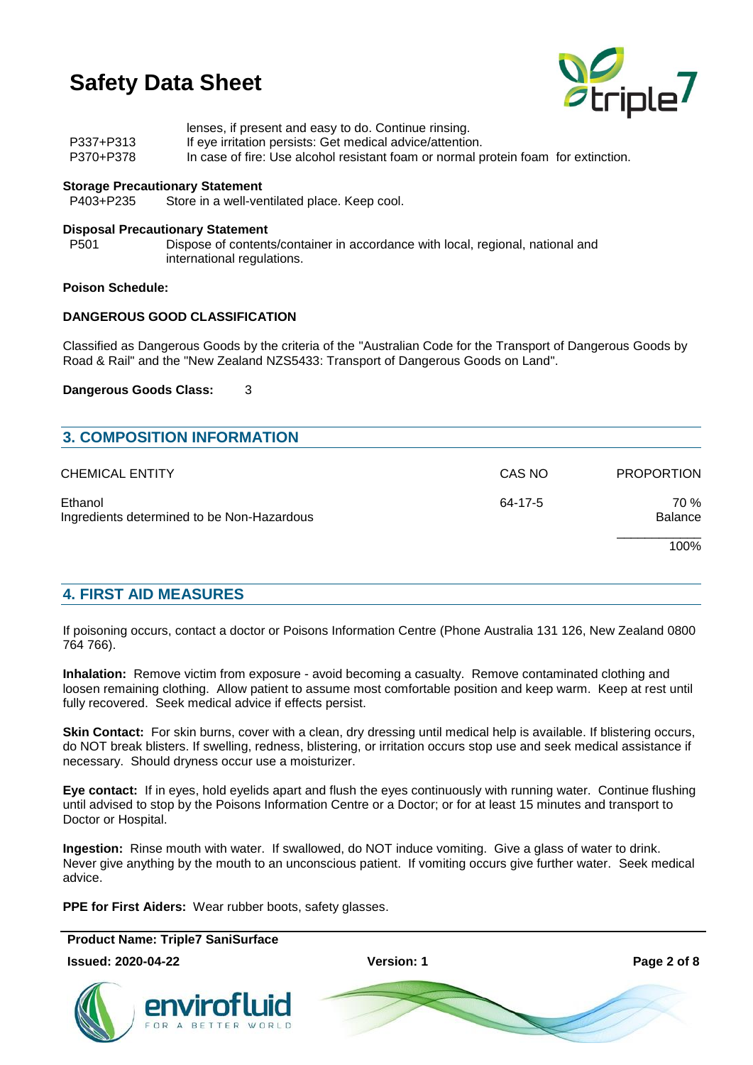

|           | lenses, if present and easy to do. Continue rinsing.                               |
|-----------|------------------------------------------------------------------------------------|
| P337+P313 | If eye irritation persists: Get medical advice/attention.                          |
| P370+P378 | In case of fire: Use alcohol resistant foam or normal protein foam for extinction. |

# **Storage Precautionary Statement**<br>P403+P235 Store in a well-ver

Store in a well-ventilated place. Keep cool.

#### **Disposal Precautionary Statement**

P501 Dispose of contents/container in accordance with local, regional, national and international regulations.

#### **Poison Schedule:**

### **DANGEROUS GOOD CLASSIFICATION**

Classified as Dangerous Goods by the criteria of the "Australian Code for the Transport of Dangerous Goods by Road & Rail" and the "New Zealand NZS5433: Transport of Dangerous Goods on Land".

#### **Dangerous Goods Class:** 3

| <b>3. COMPOSITION INFORMATION</b>                     |         |                   |
|-------------------------------------------------------|---------|-------------------|
| <b>CHEMICAL ENTITY</b>                                | CAS NO  | <b>PROPORTION</b> |
| Ethanol<br>Ingredients determined to be Non-Hazardous | 64-17-5 | 70 %<br>Balance   |
|                                                       |         | 100%              |

### **4. FIRST AID MEASURES**

If poisoning occurs, contact a doctor or Poisons Information Centre (Phone Australia 131 126, New Zealand 0800 764 766).

**Inhalation:** Remove victim from exposure - avoid becoming a casualty. Remove contaminated clothing and loosen remaining clothing. Allow patient to assume most comfortable position and keep warm. Keep at rest until fully recovered. Seek medical advice if effects persist.

**Skin Contact:** For skin burns, cover with a clean, dry dressing until medical help is available. If blistering occurs, do NOT break blisters. If swelling, redness, blistering, or irritation occurs stop use and seek medical assistance if necessary. Should dryness occur use a moisturizer.

**Eye contact:** If in eyes, hold eyelids apart and flush the eyes continuously with running water. Continue flushing until advised to stop by the Poisons Information Centre or a Doctor; or for at least 15 minutes and transport to Doctor or Hospital.

**Ingestion:** Rinse mouth with water. If swallowed, do NOT induce vomiting. Give a glass of water to drink. Never give anything by the mouth to an unconscious patient. If vomiting occurs give further water. Seek medical advice.

**PPE for First Aiders:** Wear rubber boots, safety glasses.

**Product Name: Triple7 SaniSurface Issued: 2020-04-22 Version: 1 Page 2 of 8** envirotluid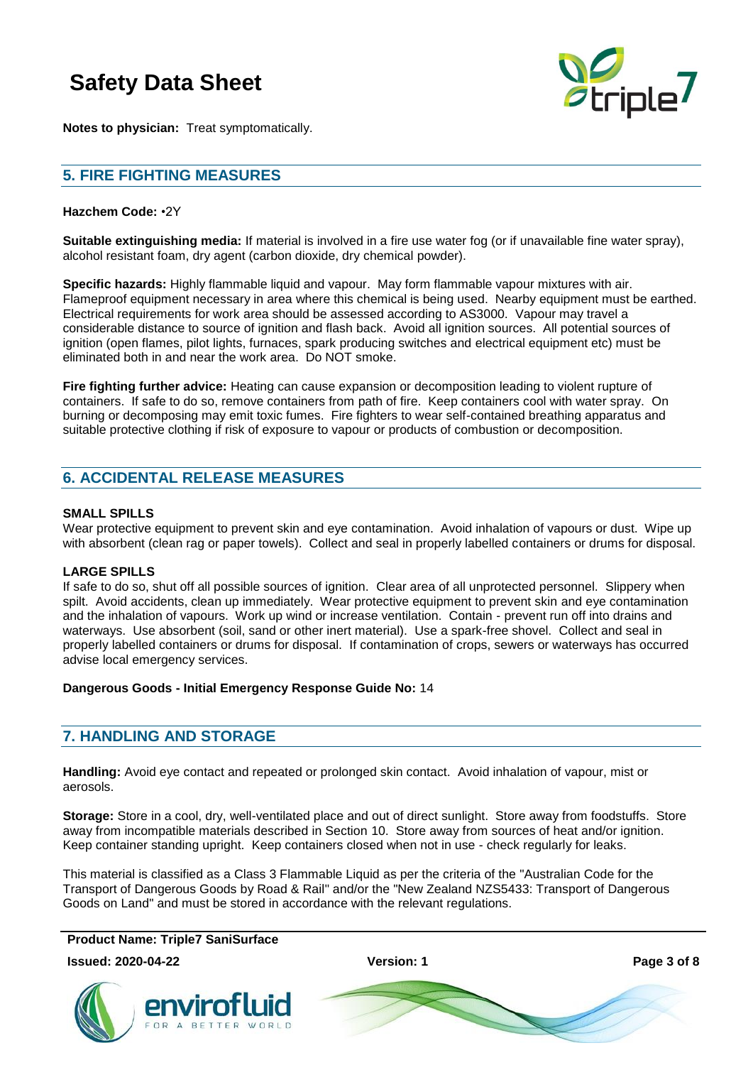

**Notes to physician:** Treat symptomatically.

# **5. FIRE FIGHTING MEASURES**

### **Hazchem Code:** •2Y

**Suitable extinguishing media:** If material is involved in a fire use water fog (or if unavailable fine water spray), alcohol resistant foam, dry agent (carbon dioxide, dry chemical powder).

**Specific hazards:** Highly flammable liquid and vapour. May form flammable vapour mixtures with air. Flameproof equipment necessary in area where this chemical is being used. Nearby equipment must be earthed. Electrical requirements for work area should be assessed according to AS3000. Vapour may travel a considerable distance to source of ignition and flash back. Avoid all ignition sources. All potential sources of ignition (open flames, pilot lights, furnaces, spark producing switches and electrical equipment etc) must be eliminated both in and near the work area. Do NOT smoke.

**Fire fighting further advice:** Heating can cause expansion or decomposition leading to violent rupture of containers. If safe to do so, remove containers from path of fire. Keep containers cool with water spray. On burning or decomposing may emit toxic fumes. Fire fighters to wear self-contained breathing apparatus and suitable protective clothing if risk of exposure to vapour or products of combustion or decomposition.

# **6. ACCIDENTAL RELEASE MEASURES**

### **SMALL SPILLS**

Wear protective equipment to prevent skin and eye contamination. Avoid inhalation of vapours or dust. Wipe up with absorbent (clean rag or paper towels). Collect and seal in properly labelled containers or drums for disposal.

### **LARGE SPILLS**

If safe to do so, shut off all possible sources of ignition. Clear area of all unprotected personnel. Slippery when spilt. Avoid accidents, clean up immediately. Wear protective equipment to prevent skin and eye contamination and the inhalation of vapours. Work up wind or increase ventilation. Contain - prevent run off into drains and waterways. Use absorbent (soil, sand or other inert material). Use a spark-free shovel. Collect and seal in properly labelled containers or drums for disposal. If contamination of crops, sewers or waterways has occurred advise local emergency services.

### **Dangerous Goods - Initial Emergency Response Guide No:** 14

# **7. HANDLING AND STORAGE**

**Handling:** Avoid eye contact and repeated or prolonged skin contact. Avoid inhalation of vapour, mist or aerosols.

**Storage:** Store in a cool, dry, well-ventilated place and out of direct sunlight. Store away from foodstuffs. Store away from incompatible materials described in Section 10. Store away from sources of heat and/or ignition. Keep container standing upright. Keep containers closed when not in use - check regularly for leaks.

This material is classified as a Class 3 Flammable Liquid as per the criteria of the "Australian Code for the Transport of Dangerous Goods by Road & Rail" and/or the "New Zealand NZS5433: Transport of Dangerous Goods on Land" and must be stored in accordance with the relevant regulations.

**Product Name: Triple7 SaniSurface**

**Issued: 2020-04-22 Version: 1 Page 3 of 8**



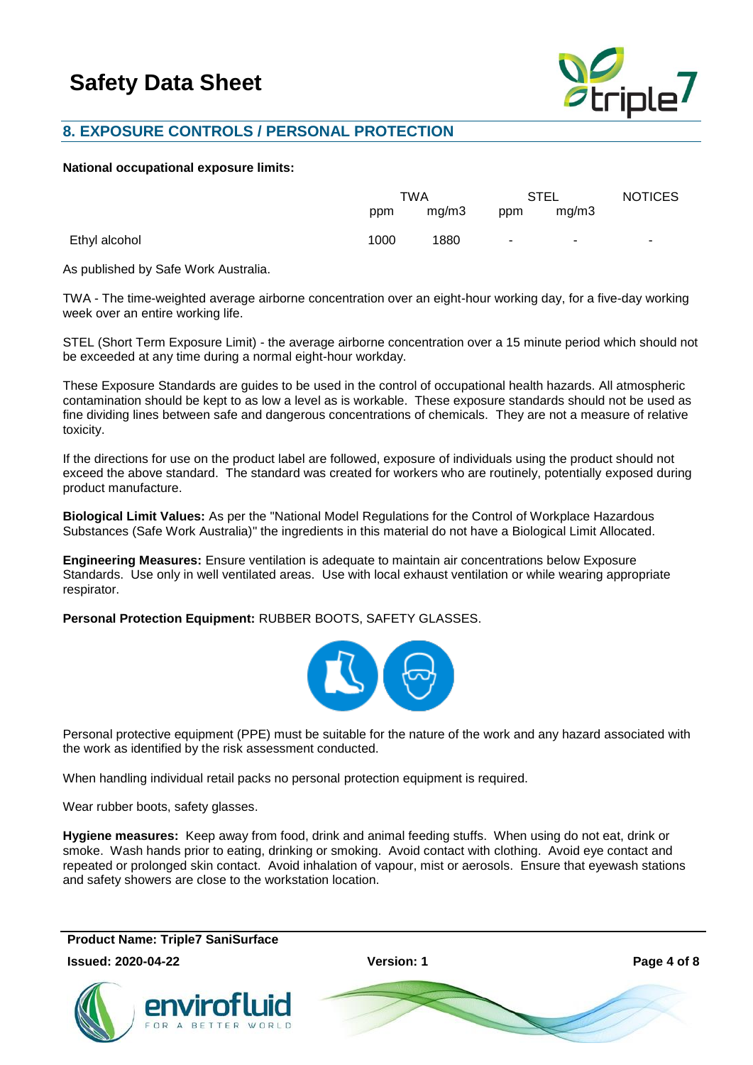

# **8. EXPOSURE CONTROLS / PERSONAL PROTECTION**

#### **National occupational exposure limits:**

|               | TWA  |       | STEL   |       | <b>NOTICES</b> |
|---------------|------|-------|--------|-------|----------------|
|               | ppm  | mg/m3 | ppm    | mg/m3 |                |
| Ethyl alcohol | 1000 | 1880  | $\sim$ | ۰.    | ۰.             |

As published by Safe Work Australia.

TWA - The time-weighted average airborne concentration over an eight-hour working day, for a five-day working week over an entire working life.

STEL (Short Term Exposure Limit) - the average airborne concentration over a 15 minute period which should not be exceeded at any time during a normal eight-hour workday.

These Exposure Standards are guides to be used in the control of occupational health hazards. All atmospheric contamination should be kept to as low a level as is workable. These exposure standards should not be used as fine dividing lines between safe and dangerous concentrations of chemicals. They are not a measure of relative toxicity.

If the directions for use on the product label are followed, exposure of individuals using the product should not exceed the above standard. The standard was created for workers who are routinely, potentially exposed during product manufacture.

**Biological Limit Values:** As per the "National Model Regulations for the Control of Workplace Hazardous Substances (Safe Work Australia)" the ingredients in this material do not have a Biological Limit Allocated.

**Engineering Measures:** Ensure ventilation is adequate to maintain air concentrations below Exposure Standards. Use only in well ventilated areas. Use with local exhaust ventilation or while wearing appropriate respirator.

**Personal Protection Equipment:** RUBBER BOOTS, SAFETY GLASSES.



Personal protective equipment (PPE) must be suitable for the nature of the work and any hazard associated with the work as identified by the risk assessment conducted.

When handling individual retail packs no personal protection equipment is required.

Wear rubber boots, safety glasses.

**Hygiene measures:** Keep away from food, drink and animal feeding stuffs. When using do not eat, drink or smoke. Wash hands prior to eating, drinking or smoking. Avoid contact with clothing. Avoid eye contact and repeated or prolonged skin contact. Avoid inhalation of vapour, mist or aerosols. Ensure that eyewash stations and safety showers are close to the workstation location.

### **Product Name: Triple7 SaniSurface**

**Issued: 2020-04-22 Version: 1 Page 4 of 8**



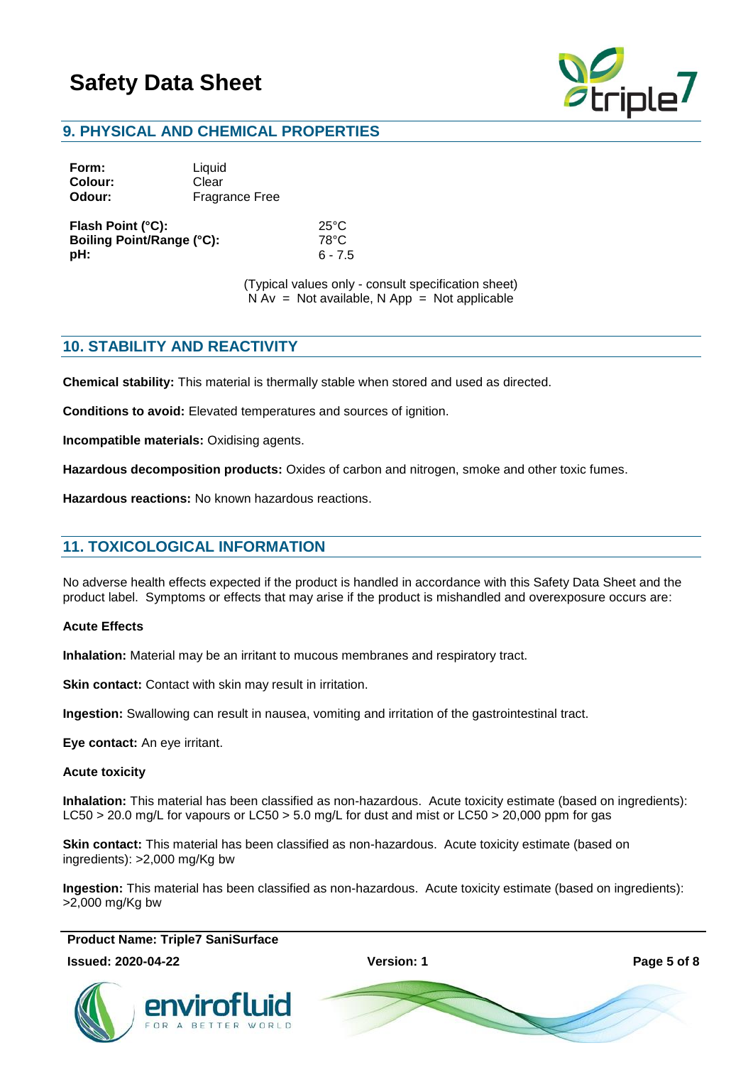

# **9. PHYSICAL AND CHEMICAL PROPERTIES**

| Form:   | Liquid                |
|---------|-----------------------|
| Colour: | Clear                 |
| Odour:  | <b>Fragrance Free</b> |

**Flash Point (°C):** 25°C **Boiling Point/Range (°C):** 78°C **pH:** 6 - 7.5

(Typical values only - consult specification sheet)  $N Av = Not available, N App = Not applicable$ 

# **10. STABILITY AND REACTIVITY**

**Chemical stability:** This material is thermally stable when stored and used as directed.

**Conditions to avoid:** Elevated temperatures and sources of ignition.

**Incompatible materials:** Oxidising agents.

**Hazardous decomposition products:** Oxides of carbon and nitrogen, smoke and other toxic fumes.

**Hazardous reactions:** No known hazardous reactions.

# **11. TOXICOLOGICAL INFORMATION**

No adverse health effects expected if the product is handled in accordance with this Safety Data Sheet and the product label. Symptoms or effects that may arise if the product is mishandled and overexposure occurs are:

#### **Acute Effects**

**Inhalation:** Material may be an irritant to mucous membranes and respiratory tract.

**Skin contact:** Contact with skin may result in irritation.

**Ingestion:** Swallowing can result in nausea, vomiting and irritation of the gastrointestinal tract.

**Eye contact:** An eye irritant.

#### **Acute toxicity**

**Inhalation:** This material has been classified as non-hazardous. Acute toxicity estimate (based on ingredients): LC50 > 20.0 mg/L for vapours or LC50 > 5.0 mg/L for dust and mist or LC50 > 20,000 ppm for gas

**Skin contact:** This material has been classified as non-hazardous. Acute toxicity estimate (based on ingredients): >2,000 mg/Kg bw

**Ingestion:** This material has been classified as non-hazardous. Acute toxicity estimate (based on ingredients): >2,000 mg/Kg bw

**Product Name: Triple7 SaniSurface**

#### **Issued: 2020-04-22 Version: 1 Page 5 of 8**



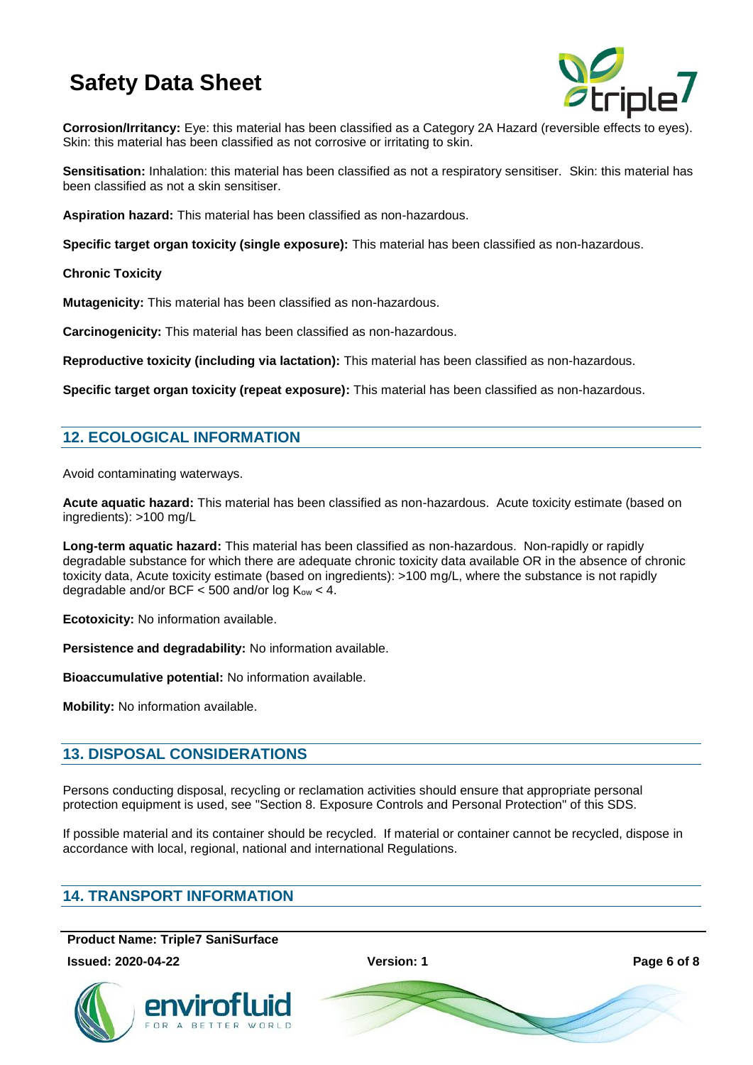

**Corrosion/Irritancy:** Eye: this material has been classified as a Category 2A Hazard (reversible effects to eyes). Skin: this material has been classified as not corrosive or irritating to skin.

**Sensitisation:** Inhalation: this material has been classified as not a respiratory sensitiser. Skin: this material has been classified as not a skin sensitiser.

**Aspiration hazard:** This material has been classified as non-hazardous.

**Specific target organ toxicity (single exposure):** This material has been classified as non-hazardous.

**Chronic Toxicity**

**Mutagenicity:** This material has been classified as non-hazardous.

**Carcinogenicity:** This material has been classified as non-hazardous.

**Reproductive toxicity (including via lactation):** This material has been classified as non-hazardous.

**Specific target organ toxicity (repeat exposure):** This material has been classified as non-hazardous.

# **12. ECOLOGICAL INFORMATION**

Avoid contaminating waterways.

**Acute aquatic hazard:** This material has been classified as non-hazardous. Acute toxicity estimate (based on ingredients): >100 mg/L

**Long-term aquatic hazard:** This material has been classified as non-hazardous. Non-rapidly or rapidly degradable substance for which there are adequate chronic toxicity data available OR in the absence of chronic toxicity data, Acute toxicity estimate (based on ingredients): >100 mg/L, where the substance is not rapidly degradable and/or BCF  $<$  500 and/or log K<sub>ow</sub>  $<$  4.

**Ecotoxicity:** No information available.

**Persistence and degradability:** No information available.

**Bioaccumulative potential:** No information available.

**Mobility:** No information available.

# **13. DISPOSAL CONSIDERATIONS**

Persons conducting disposal, recycling or reclamation activities should ensure that appropriate personal protection equipment is used, see "Section 8. Exposure Controls and Personal Protection" of this SDS.

If possible material and its container should be recycled. If material or container cannot be recycled, dispose in accordance with local, regional, national and international Regulations.

### **14. TRANSPORT INFORMATION**

**Product Name: Triple7 SaniSurface**

**Issued: 2020-04-22 Version: 1 Page 6 of 8**





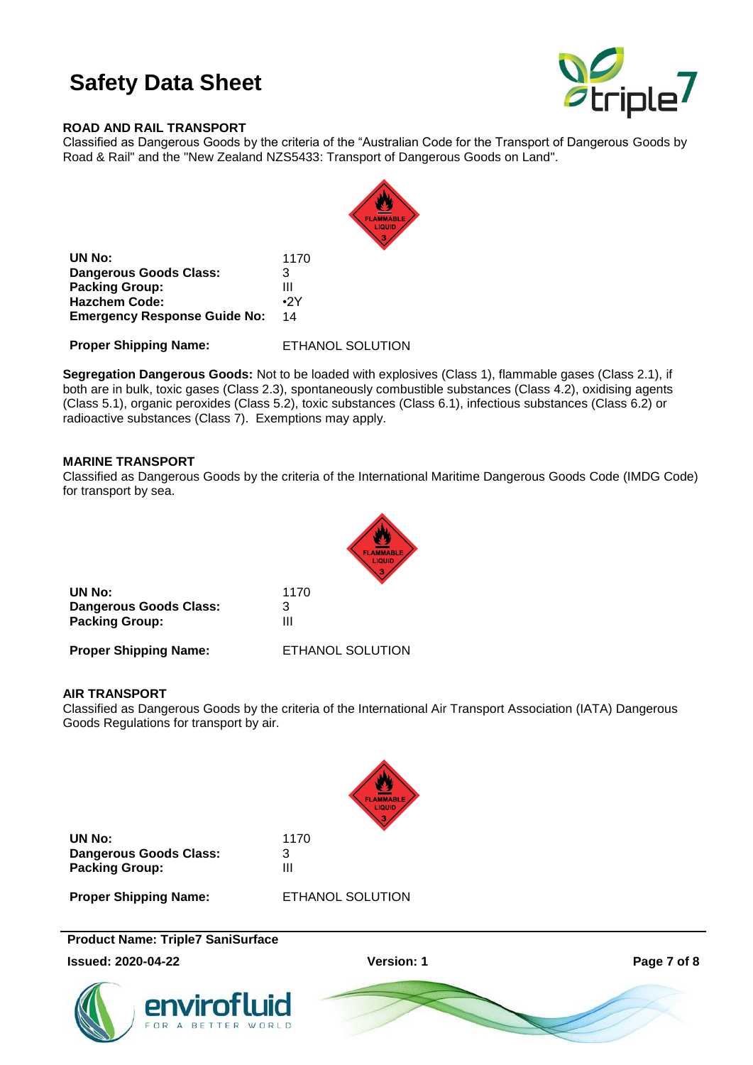

### **ROAD AND RAIL TRANSPORT**

Classified as Dangerous Goods by the criteria of the "Australian Code for the Transport of Dangerous Goods by Road & Rail" and the "New Zealand NZS5433: Transport of Dangerous Goods on Land".



| UN No:                              | 1170       |
|-------------------------------------|------------|
| Dangerous Goods Class:              | 3          |
| <b>Packing Group:</b>               | Ш          |
| <b>Hazchem Code:</b>                | $\cdot$ 2Y |
| <b>Emergency Response Guide No:</b> | 14         |

**Proper Shipping Name:** ETHANOL SOLUTION

**Segregation Dangerous Goods:** Not to be loaded with explosives (Class 1), flammable gases (Class 2.1), if both are in bulk, toxic gases (Class 2.3), spontaneously combustible substances (Class 4.2), oxidising agents (Class 5.1), organic peroxides (Class 5.2), toxic substances (Class 6.1), infectious substances (Class 6.2) or radioactive substances (Class 7). Exemptions may apply.

### **MARINE TRANSPORT**

Classified as Dangerous Goods by the criteria of the International Maritime Dangerous Goods Code (IMDG Code) for transport by sea.



**Proper Shipping Name:** ETHANOL SOLUTION

### **AIR TRANSPORT**

Classified as Dangerous Goods by the criteria of the International Air Transport Association (IATA) Dangerous Goods Regulations for transport by air.



| UN No:                        | 1170 |
|-------------------------------|------|
| <b>Dangerous Goods Class:</b> | 3    |
| <b>Packing Group:</b>         | Ш    |

**Proper Shipping Name:** ETHANOL SOLUTION

**Product Name: Triple7 SaniSurface**

**Issued: 2020-04-22 Version: 1 Page 7 of 8**